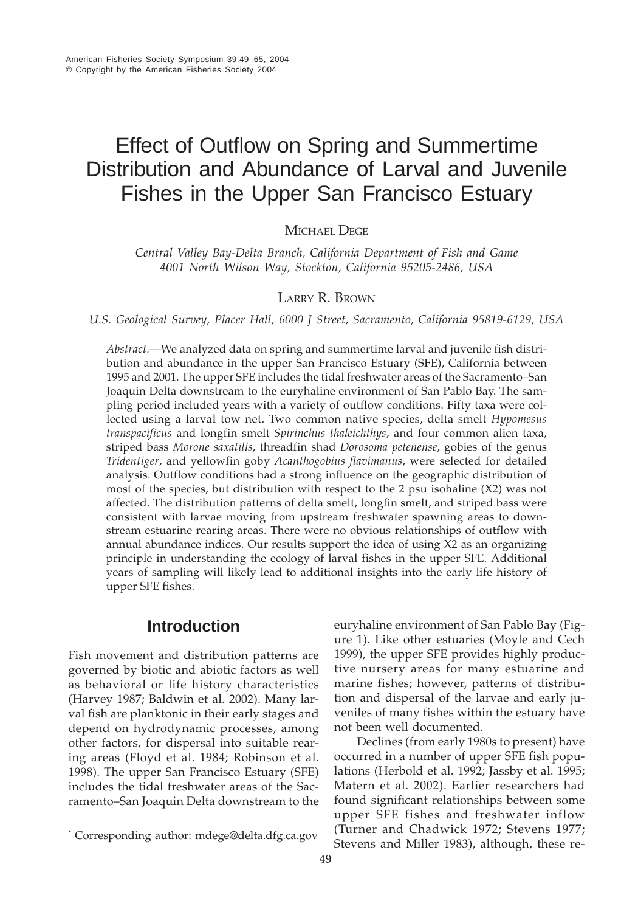# Effect of Outflow on Spring and Summertime Distribution and Abundance of Larval and Juvenile Fishes in the Upper San Francisco Estuary

MICHAEL DEGE

*Central Valley Bay-Delta Branch, California Department of Fish and Game 4001 North Wilson Way, Stockton, California 95205-2486, USA*

## LARRY R. BROWN

*U.S. Geological Survey, Placer Hall, 6000 J Street, Sacramento, California 95819-6129, USA*

*Abstract.*—We analyzed data on spring and summertime larval and juvenile fish distribution and abundance in the upper San Francisco Estuary (SFE), California between 1995 and 2001. The upper SFE includes the tidal freshwater areas of the Sacramento–San Joaquin Delta downstream to the euryhaline environment of San Pablo Bay. The sampling period included years with a variety of outflow conditions. Fifty taxa were collected using a larval tow net. Two common native species, delta smelt *Hypomesus transpacificus* and longfin smelt *Spirinchus thaleichthys*, and four common alien taxa, striped bass *Morone saxatilis*, threadfin shad *Dorosoma petenense*, gobies of the genus *Tridentiger*, and yellowfin goby *Acanthogobius flavimanus*, were selected for detailed analysis. Outflow conditions had a strong influence on the geographic distribution of most of the species, but distribution with respect to the 2 psu isohaline (X2) was not affected. The distribution patterns of delta smelt, longfin smelt, and striped bass were consistent with larvae moving from upstream freshwater spawning areas to downstream estuarine rearing areas. There were no obvious relationships of outflow with annual abundance indices. Our results support the idea of using X2 as an organizing principle in understanding the ecology of larval fishes in the upper SFE. Additional years of sampling will likely lead to additional insights into the early life history of upper SFE fishes.

# **Introduction**

Fish movement and distribution patterns are governed by biotic and abiotic factors as well as behavioral or life history characteristics (Harvey 1987; Baldwin et al. 2002). Many larval fish are planktonic in their early stages and depend on hydrodynamic processes, among other factors, for dispersal into suitable rearing areas (Floyd et al. 1984; Robinson et al. 1998). The upper San Francisco Estuary (SFE) includes the tidal freshwater areas of the Sacramento–San Joaquin Delta downstream to the

euryhaline environment of San Pablo Bay (Figure 1). Like other estuaries (Moyle and Cech 1999), the upper SFE provides highly productive nursery areas for many estuarine and marine fishes; however, patterns of distribution and dispersal of the larvae and early juveniles of many fishes within the estuary have not been well documented.

Declines (from early 1980s to present) have occurred in a number of upper SFE fish populations (Herbold et al. 1992; Jassby et al. 1995; Matern et al. 2002). Earlier researchers had found significant relationships between some upper SFE fishes and freshwater inflow (Turner and Chadwick 1972; Stevens 1977; Stevens and Miller 1983), although, these re-

<sup>\*</sup> Corresponding author: mdege@delta.dfg.ca.gov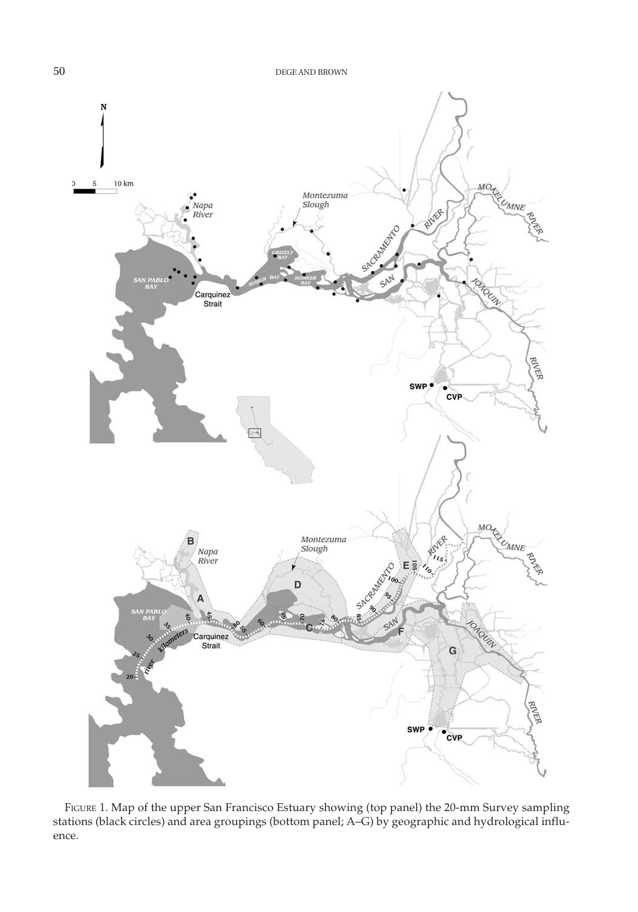

FIGURE 1. Map of the upper San Francisco Estuary showing (top panel) the 20-mm Survey sampling stations (black circles) and area groupings (bottom panel; A–G) by geographic and hydrological influence.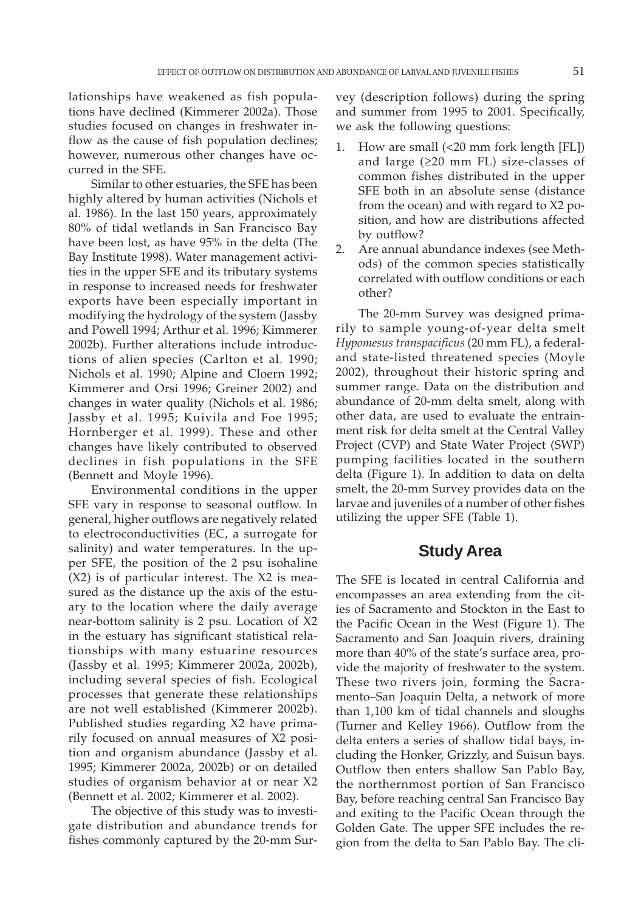lationships have weakened as fish populations have declined (Kimmerer 2002a). Those studies focused on changes in freshwater inflow as the cause of fish population declines; however, numerous other changes have occurred in the SFE.

Similar to other estuaries, the SFE has been highly altered by human activities (Nichols et al. 1986). In the last 150 years, approximately 80% of tidal wetlands in San Francisco Bay have been lost, as have 95% in the delta (The Bay Institute 1998). Water management activities in the upper SFE and its tributary systems in response to increased needs for freshwater exports have been especially important in modifying the hydrology of the system (Jassby and Powell 1994; Arthur et al. 1996; Kimmerer 2002b). Further alterations include introductions of alien species (Carlton et al. 1990; Nichols et al. 1990; Alpine and Cloern 1992; Kimmerer and Orsi 1996; Greiner 2002) and changes in water quality (Nichols et al. 1986; Jassby et al. 1995; Kuivila and Foe 1995; Hornberger et al. 1999). These and other changes have likely contributed to observed declines in fish populations in the SFE (Bennett and Moyle 1996).

Environmental conditions in the upper SFE vary in response to seasonal outflow. In general, higher outflows are negatively related to electroconductivities (EC, a surrogate for salinity) and water temperatures. In the upper SFE, the position of the 2 psu isohaline (X2) is of particular interest. The X2 is measured as the distance up the axis of the estuary to the location where the daily average near-bottom salinity is 2 psu. Location of X2 in the estuary has significant statistical relationships with many estuarine resources (Jassby et al. 1995; Kimmerer 2002a, 2002b), including several species of fish. Ecological processes that generate these relationships are not well established (Kimmerer 2002b). Published studies regarding X2 have primarily focused on annual measures of X2 position and organism abundance (Jassby et al. 1995; Kimmerer 2002a, 2002b) or on detailed studies of organism behavior at or near X2 (Bennett et al. 2002; Kimmerer et al. 2002).

The objective of this study was to investigate distribution and abundance trends for fishes commonly captured by the 20-mm Survey (description follows) during the spring and summer from 1995 to 2001. Specifically, we ask the following questions:

- 1. How are small (<20 mm fork length [FL]) and large (≥20 mm FL) size-classes of common fishes distributed in the upper SFE both in an absolute sense (distance from the ocean) and with regard to X2 position, and how are distributions affected by outflow?
- 2. Are annual abundance indexes (see Methods) of the common species statistically correlated with outflow conditions or each other?

The 20-mm Survey was designed primarily to sample young-of-year delta smelt *Hypomesus transpacificus* (20 mm FL), a federaland state-listed threatened species (Moyle 2002), throughout their historic spring and summer range. Data on the distribution and abundance of 20-mm delta smelt, along with other data, are used to evaluate the entrainment risk for delta smelt at the Central Valley Project (CVP) and State Water Project (SWP) pumping facilities located in the southern delta (Figure 1). In addition to data on delta smelt, the 20-mm Survey provides data on the larvae and juveniles of a number of other fishes utilizing the upper SFE (Table 1).

## **Study Area**

The SFE is located in central California and encompasses an area extending from the cities of Sacramento and Stockton in the East to the Pacific Ocean in the West (Figure 1). The Sacramento and San Joaquin rivers, draining more than 40% of the state's surface area, provide the majority of freshwater to the system. These two rivers join, forming the Sacramento–San Joaquin Delta, a network of more than 1,100 km of tidal channels and sloughs (Turner and Kelley 1966). Outflow from the delta enters a series of shallow tidal bays, including the Honker, Grizzly, and Suisun bays. Outflow then enters shallow San Pablo Bay, the northernmost portion of San Francisco Bay, before reaching central San Francisco Bay and exiting to the Pacific Ocean through the Golden Gate. The upper SFE includes the region from the delta to San Pablo Bay. The cli-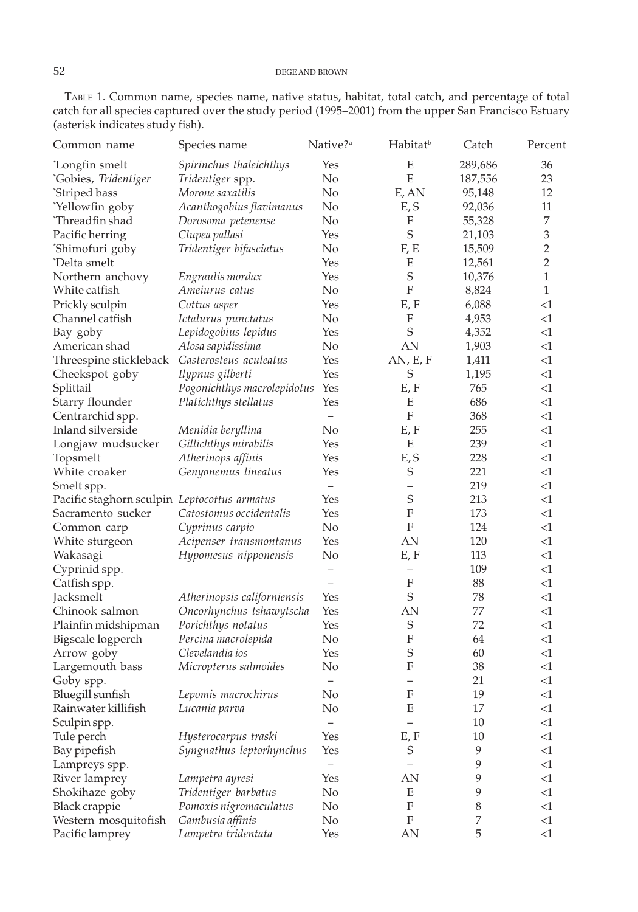| Common name                                   | Species name                | Native? <sup>a</sup>     | Habitat <sup>b</sup>      | Catch        | Percent                     |
|-----------------------------------------------|-----------------------------|--------------------------|---------------------------|--------------|-----------------------------|
| *Longfin smelt                                | Spirinchus thaleichthys     | Yes                      | E                         | 289,686      | 36                          |
| "Gobies, Tridentiger                          | Tridentiger spp.            | No                       | ${\bf E}$                 | 187,556      | 23                          |
| 'Striped bass                                 | Morone saxatilis            | N <sub>o</sub>           | E, AN                     | 95,148       | 12                          |
| 'Yellowfin goby                               | Acanthogobius flavimanus    | No                       | E, S                      | 92,036       | 11                          |
| *Threadfin shad                               | Dorosoma petenense          | No                       | F                         | 55,328       | $\overline{7}$              |
| Pacific herring                               | Clupea pallasi              | Yes                      | $\mathbf S$               | 21,103       | $\ensuremath{\mathfrak{Z}}$ |
| 'Shimofuri goby                               | Tridentiger bifasciatus     | No                       | F, E                      | 15,509       | $\overline{2}$              |
| *Delta smelt                                  |                             | Yes                      | Ε                         | 12,561       | $\overline{2}$              |
| Northern anchovy                              | Engraulis mordax            | Yes                      | $\mathbf S$               | 10,376       | $\mathbf{1}$                |
| White catfish                                 | Ameiurus catus              | No                       | $\boldsymbol{\mathrm{F}}$ | 8,824        | $\mathbf{1}$                |
| Prickly sculpin                               | Cottus asper                | Yes                      | E, F                      | 6,088        | $<$ 1                       |
| Channel catfish                               | Ictalurus punctatus         | No                       | F                         | 4,953        | <1                          |
| Bay goby                                      | Lepidogobius lepidus        | Yes                      | $\mathbf S$               | 4,352        | <1                          |
| American shad                                 | Alosa sapidissima           | No                       | AN                        | 1,903        | $<$ 1                       |
| Threespine stickleback Gasterosteus aculeatus |                             | Yes                      | AN, E, F                  | 1,411        | <1                          |
|                                               | Ilypnus gilberti            | Yes                      | S                         |              | <1                          |
| Cheekspot goby                                |                             |                          |                           | 1,195<br>765 | <1                          |
| Splittail                                     | Pogonichthys macrolepidotus | Yes                      | E, F                      |              |                             |
| Starry flounder                               | Platichthys stellatus       | Yes                      | Ε                         | 686          | <1                          |
| Centrarchid spp.                              |                             | $\equiv$                 | ${\rm F}$                 | 368          | <1                          |
| Inland silverside                             | Menidia beryllina           | No                       | E, F                      | 255          | $<$ 1                       |
| Longjaw mudsucker                             | Gillichthys mirabilis       | Yes                      | Ε                         | 239          | <1                          |
| Topsmelt                                      | Atherinops affinis          | Yes                      | E, S                      | 228          | <1                          |
| White croaker                                 | Genyonemus lineatus         | Yes                      | S                         | 221          | $<$ 1                       |
| Smelt spp.                                    |                             | $\overline{\phantom{0}}$ | $\qquad \qquad -$         | 219          | <1                          |
| Pacific staghorn sculpin Leptocottus armatus  |                             | Yes                      | $\mathbf S$               | 213          | <1                          |
| Sacramento sucker                             | Catostomus occidentalis     | Yes                      | $\boldsymbol{\mathrm{F}}$ | 173          | $<$ 1                       |
| Common carp                                   | Cyprinus carpio             | No                       | F                         | 124          | <1                          |
| White sturgeon                                | Acipenser transmontanus     | Yes                      | AN                        | 120          | <1                          |
| Wakasagi                                      | Hypomesus nipponensis       | No                       | E, F                      | 113          | <1                          |
| Cyprinid spp.                                 |                             | $\overline{\phantom{m}}$ | -                         | 109          | <1                          |
| Catfish spp.                                  |                             |                          | $\boldsymbol{\mathrm{F}}$ | 88           | <1                          |
| Jacksmelt                                     | Atherinopsis californiensis | Yes                      | S                         | 78           | $<$ 1                       |
| Chinook salmon                                | Oncorhynchus tshawytscha    | Yes                      | AN                        | 77           | <1                          |
| Plainfin midshipman                           | Porichthys notatus          | Yes                      | S                         | 72           | <1                          |
| Bigscale logperch                             | Percina macrolepida         | No                       | $\boldsymbol{\mathrm{F}}$ | 64           | <1                          |
| Arrow goby                                    | Clevelandia ios             | Yes                      | S                         | 60           | <1                          |
| Largemouth bass                               | Micropterus salmoides       | No                       | F                         | 38           | <1                          |
| Goby spp.                                     |                             | $\qquad \qquad -$        | $\overline{\phantom{0}}$  | 21           | $<$ 1                       |
| Bluegill sunfish                              | Lepomis macrochirus         | No                       | F                         | 19           | <1                          |
| Rainwater killifish                           | Lucania parva               | No                       | E                         | 17           | $<\!\!1$                    |
| Sculpin spp.                                  |                             |                          |                           | 10           | $<$ 1                       |
| Tule perch                                    | Hysterocarpus traski        | Yes                      | E, F                      | 10           | $<1\,$                      |
| Bay pipefish                                  | Syngnathus leptorhynchus    | Yes                      | S                         | 9            | $<1\,$                      |
| Lampreys spp.                                 |                             | $\qquad \qquad -$        | $\overline{\phantom{0}}$  | 9            | <1                          |
| River lamprey                                 | Lampetra ayresi             | Yes                      | AN                        | 9            | $<$ 1                       |
| Shokihaze goby                                | Tridentiger barbatus        | No                       | E                         | 9            | <1                          |
| Black crappie                                 | Pomoxis nigromaculatus      | No                       | $\boldsymbol{\mathrm{F}}$ | 8            | $<$ 1                       |
| Western mosquitofish                          | Gambusia affinis            | No                       | F                         | 7            | $<$ 1                       |
| Pacific lamprey                               | Lampetra tridentata         | Yes                      | AN                        | 5            | <1                          |
|                                               |                             |                          |                           |              |                             |

TABLE 1. Common name, species name, native status, habitat, total catch, and percentage of total catch for all species captured over the study period (1995–2001) from the upper San Francisco Estuary (asterisk indicates study fish).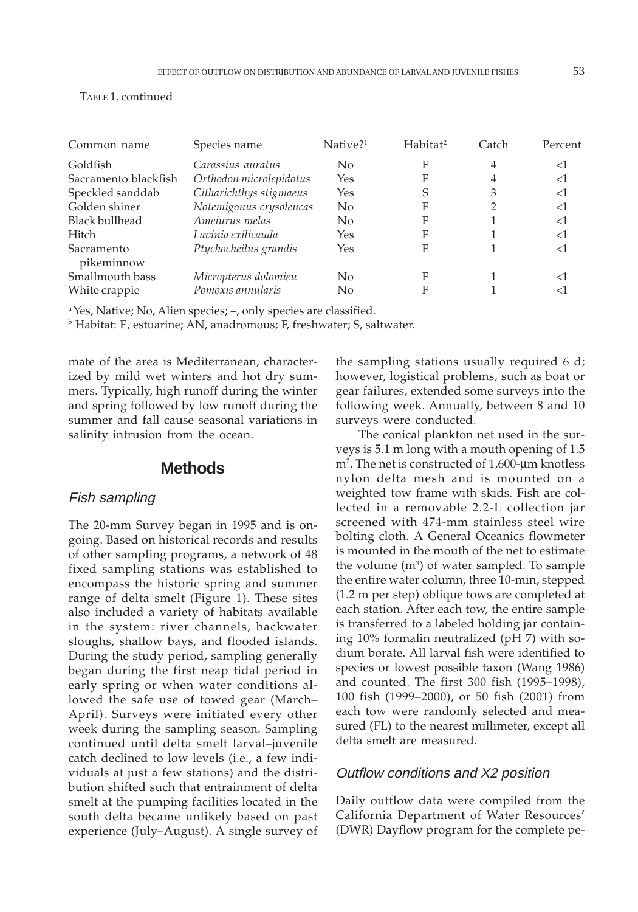| Common name              | Species name            | $Native?$ <sup>1</sup> | Habitat <sup>2</sup> | Catch | Percent |
|--------------------------|-------------------------|------------------------|----------------------|-------|---------|
| Goldfish                 | Carassius auratus       | No                     | F                    | 4     | ا>      |
| Sacramento blackfish     | Orthodon microlepidotus | Yes                    | F                    |       | <1      |
| Speckled sanddab         | Citharichthys stigmaeus | Yes                    | S                    | 3     | $<$ 1   |
| Golden shiner            | Notemigonus crysoleucas | $\rm No$               | F                    |       | $<$ 1   |
| <b>Black bullhead</b>    | Ameiurus melas          | No                     | F                    |       | <1      |
| Hitch                    | Lavinia exilicauda      | Yes                    | F                    |       | $<$ 1   |
| Sacramento<br>pikeminnow | Ptychocheilus grandis   | Yes                    | F                    |       | ا>      |
| Smallmouth bass          | Micropterus dolomieu    | $\overline{N}$         | F                    |       | ا>      |
| White crappie            | Pomoxis annularis       | No                     | F                    |       | < I     |

TABLE 1. continued

a Yes, Native; No, Alien species; –, only species are classified.

b Habitat: E, estuarine; AN, anadromous; F, freshwater; S, saltwater.

mate of the area is Mediterranean, characterized by mild wet winters and hot dry summers. Typically, high runoff during the winter and spring followed by low runoff during the summer and fall cause seasonal variations in salinity intrusion from the ocean.

# **Methods**

#### Fish sampling

The 20-mm Survey began in 1995 and is ongoing. Based on historical records and results of other sampling programs, a network of 48 fixed sampling stations was established to encompass the historic spring and summer range of delta smelt (Figure 1). These sites also included a variety of habitats available in the system: river channels, backwater sloughs, shallow bays, and flooded islands. During the study period, sampling generally began during the first neap tidal period in early spring or when water conditions allowed the safe use of towed gear (March– April). Surveys were initiated every other week during the sampling season. Sampling continued until delta smelt larval–juvenile catch declined to low levels (i.e., a few individuals at just a few stations) and the distribution shifted such that entrainment of delta smelt at the pumping facilities located in the south delta became unlikely based on past experience (July–August). A single survey of the sampling stations usually required 6 d; however, logistical problems, such as boat or gear failures, extended some surveys into the following week. Annually, between 8 and 10 surveys were conducted.

The conical plankton net used in the surveys is 5.1 m long with a mouth opening of 1.5 m2 . The net is constructed of 1,600-µm knotless nylon delta mesh and is mounted on a weighted tow frame with skids. Fish are collected in a removable 2.2-L collection jar screened with 474-mm stainless steel wire bolting cloth. A General Oceanics flowmeter is mounted in the mouth of the net to estimate the volume (m<sup>3</sup>) of water sampled. To sample the entire water column, three 10-min, stepped (1.2 m per step) oblique tows are completed at each station. After each tow, the entire sample is transferred to a labeled holding jar containing 10% formalin neutralized (pH 7) with sodium borate. All larval fish were identified to species or lowest possible taxon (Wang 1986) and counted. The first 300 fish (1995–1998), 100 fish (1999–2000), or 50 fish (2001) from each tow were randomly selected and measured (FL) to the nearest millimeter, except all delta smelt are measured.

## Outflow conditions and X2 position

Daily outflow data were compiled from the California Department of Water Resources' (DWR) Dayflow program for the complete pe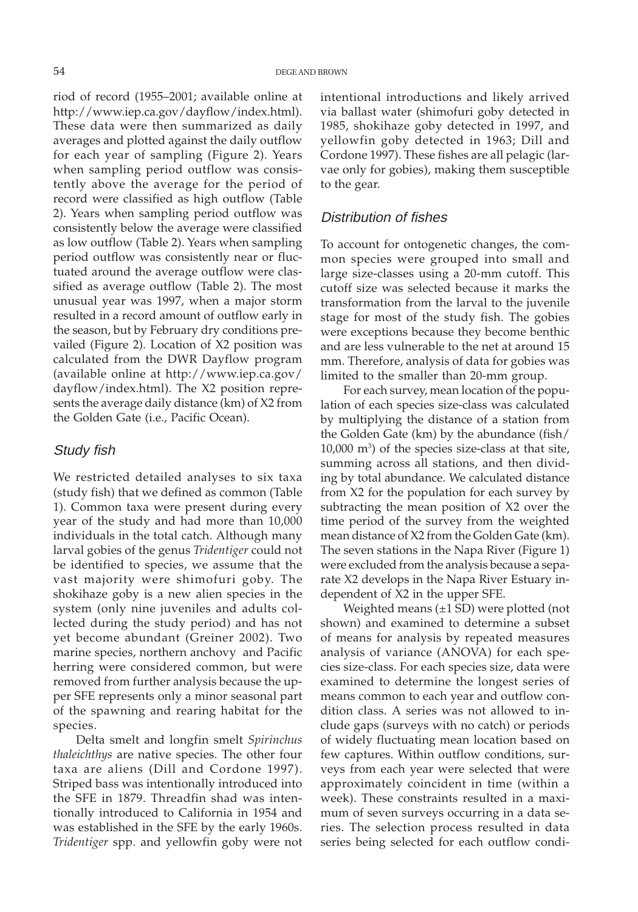riod of record (1955–2001; available online at http://www.iep.ca.gov/dayflow/index.html). These data were then summarized as daily averages and plotted against the daily outflow for each year of sampling (Figure 2). Years when sampling period outflow was consistently above the average for the period of record were classified as high outflow (Table 2). Years when sampling period outflow was consistently below the average were classified as low outflow (Table 2). Years when sampling period outflow was consistently near or fluctuated around the average outflow were classified as average outflow (Table 2). The most unusual year was 1997, when a major storm resulted in a record amount of outflow early in the season, but by February dry conditions prevailed (Figure 2). Location of X2 position was calculated from the DWR Dayflow program (available online at http://www.iep.ca.gov/ dayflow/index.html). The X2 position represents the average daily distance (km) of X2 from the Golden Gate (i.e., Pacific Ocean).

#### Study fish

We restricted detailed analyses to six taxa (study fish) that we defined as common (Table 1). Common taxa were present during every year of the study and had more than 10,000 individuals in the total catch. Although many larval gobies of the genus *Tridentiger* could not be identified to species, we assume that the vast majority were shimofuri goby. The shokihaze goby is a new alien species in the system (only nine juveniles and adults collected during the study period) and has not yet become abundant (Greiner 2002). Two marine species, northern anchovy and Pacific herring were considered common, but were removed from further analysis because the upper SFE represents only a minor seasonal part of the spawning and rearing habitat for the species.

Delta smelt and longfin smelt *Spirinchus thaleichthys* are native species. The other four taxa are aliens (Dill and Cordone 1997). Striped bass was intentionally introduced into the SFE in 1879. Threadfin shad was intentionally introduced to California in 1954 and was established in the SFE by the early 1960s. *Tridentiger* spp. and yellowfin goby were not intentional introductions and likely arrived via ballast water (shimofuri goby detected in 1985, shokihaze goby detected in 1997, and yellowfin goby detected in 1963; Dill and Cordone 1997). These fishes are all pelagic (larvae only for gobies), making them susceptible to the gear.

## Distribution of fishes

To account for ontogenetic changes, the common species were grouped into small and large size-classes using a 20-mm cutoff. This cutoff size was selected because it marks the transformation from the larval to the juvenile stage for most of the study fish. The gobies were exceptions because they become benthic and are less vulnerable to the net at around 15 mm. Therefore, analysis of data for gobies was limited to the smaller than 20-mm group.

For each survey, mean location of the population of each species size-class was calculated by multiplying the distance of a station from the Golden Gate (km) by the abundance (fish/ 10,000 m3 ) of the species size-class at that site, summing across all stations, and then dividing by total abundance. We calculated distance from X2 for the population for each survey by subtracting the mean position of X2 over the time period of the survey from the weighted mean distance of X2 from the Golden Gate (km). The seven stations in the Napa River (Figure 1) were excluded from the analysis because a separate X2 develops in the Napa River Estuary independent of X2 in the upper SFE.

Weighted means (±1 SD) were plotted (not shown) and examined to determine a subset of means for analysis by repeated measures analysis of variance (ANOVA) for each species size-class. For each species size, data were examined to determine the longest series of means common to each year and outflow condition class. A series was not allowed to include gaps (surveys with no catch) or periods of widely fluctuating mean location based on few captures. Within outflow conditions, surveys from each year were selected that were approximately coincident in time (within a week). These constraints resulted in a maximum of seven surveys occurring in a data series. The selection process resulted in data series being selected for each outflow condi-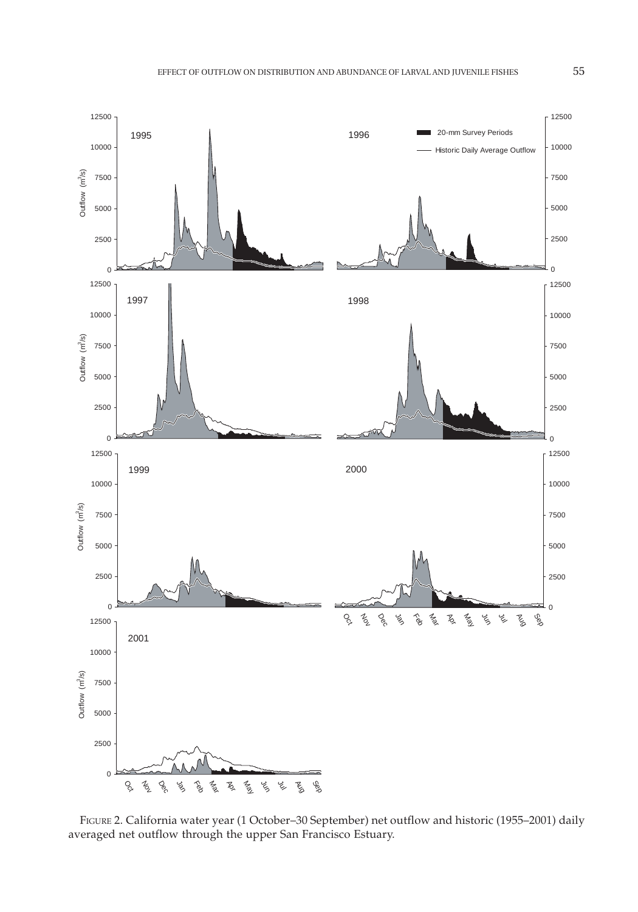

FIGURE 2. California water year (1 October–30 September) net outflow and historic (1955–2001) daily averaged net outflow through the upper San Francisco Estuary.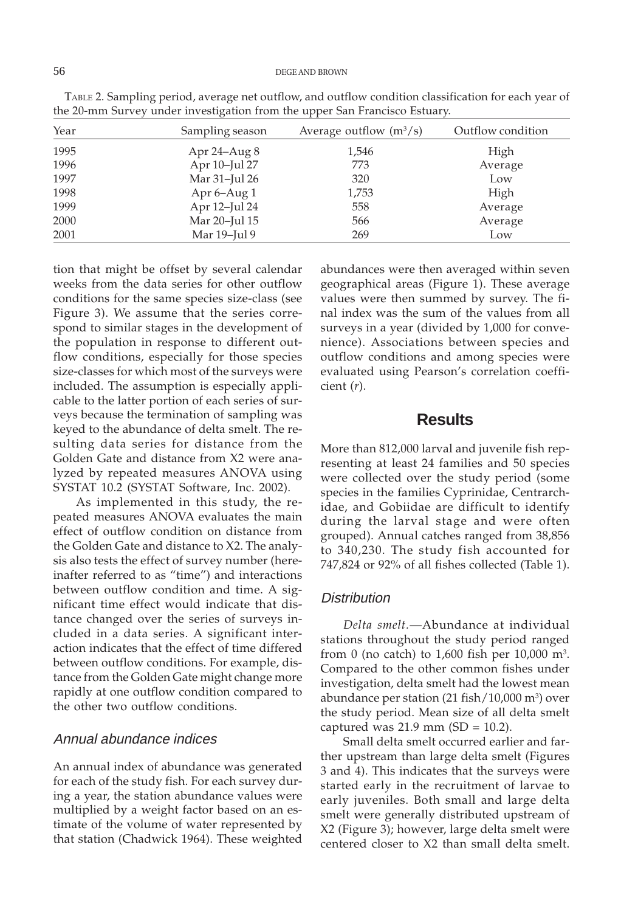| Year | Sampling season  | Average outflow $(m^3/s)$ | Outflow condition |
|------|------------------|---------------------------|-------------------|
| 1995 | Apr $24 - Aug 8$ | 1,546                     | High              |
| 1996 | Apr 10-Jul 27    | 773                       | Average           |
| 1997 | Mar 31-Jul 26    | 320                       | Low               |
| 1998 | Apr $6-$ Aug $1$ | 1,753                     | High              |
| 1999 | Apr 12-Jul 24    | 558                       | Average           |
| 2000 | Mar 20-Jul 15    | 566                       | Average           |
| 2001 | Mar 19-Jul 9     | 269                       | Low               |

TABLE 2. Sampling period, average net outflow, and outflow condition classification for each year of the 20-mm Survey under investigation from the upper San Francisco Estuary.

tion that might be offset by several calendar weeks from the data series for other outflow conditions for the same species size-class (see Figure 3). We assume that the series correspond to similar stages in the development of the population in response to different outflow conditions, especially for those species size-classes for which most of the surveys were included. The assumption is especially applicable to the latter portion of each series of surveys because the termination of sampling was keyed to the abundance of delta smelt. The resulting data series for distance from the Golden Gate and distance from X2 were analyzed by repeated measures ANOVA using SYSTAT 10.2 (SYSTAT Software, Inc. 2002).

As implemented in this study, the repeated measures ANOVA evaluates the main effect of outflow condition on distance from the Golden Gate and distance to X2. The analysis also tests the effect of survey number (hereinafter referred to as "time") and interactions between outflow condition and time. A significant time effect would indicate that distance changed over the series of surveys included in a data series. A significant interaction indicates that the effect of time differed between outflow conditions. For example, distance from the Golden Gate might change more rapidly at one outflow condition compared to the other two outflow conditions.

## Annual abundance indices

An annual index of abundance was generated for each of the study fish. For each survey during a year, the station abundance values were multiplied by a weight factor based on an estimate of the volume of water represented by that station (Chadwick 1964). These weighted

abundances were then averaged within seven geographical areas (Figure 1). These average values were then summed by survey. The final index was the sum of the values from all surveys in a year (divided by 1,000 for convenience). Associations between species and outflow conditions and among species were evaluated using Pearson's correlation coefficient (*r*).

# **Results**

More than 812,000 larval and juvenile fish representing at least 24 families and 50 species were collected over the study period (some species in the families Cyprinidae, Centrarchidae, and Gobiidae are difficult to identify during the larval stage and were often grouped). Annual catches ranged from 38,856 to 340,230. The study fish accounted for 747,824 or 92% of all fishes collected (Table 1).

#### **Distribution**

*Delta smelt.*—Abundance at individual stations throughout the study period ranged from 0 (no catch) to 1,600 fish per  $10,000$  m<sup>3</sup>. Compared to the other common fishes under investigation, delta smelt had the lowest mean abundance per station (21 fish/10,000 m<sup>3</sup>) over the study period. Mean size of all delta smelt captured was  $21.9$  mm (SD = 10.2).

Small delta smelt occurred earlier and farther upstream than large delta smelt (Figures 3 and 4). This indicates that the surveys were started early in the recruitment of larvae to early juveniles. Both small and large delta smelt were generally distributed upstream of X2 (Figure 3); however, large delta smelt were centered closer to X2 than small delta smelt.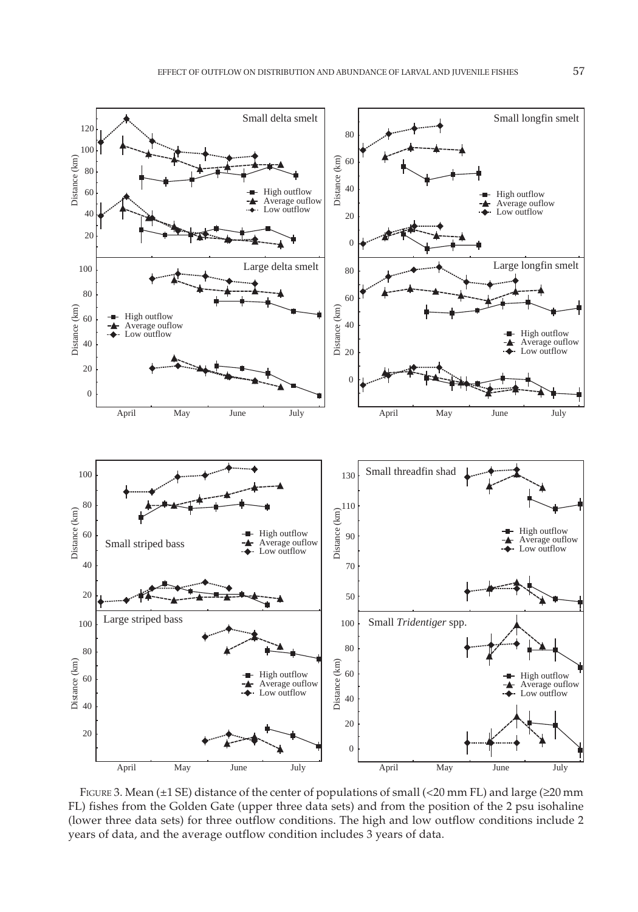

FIGURE 3. Mean (±1 SE) distance of the center of populations of small (<20 mm FL) and large (≥20 mm FL) fishes from the Golden Gate (upper three data sets) and from the position of the 2 psu isohaline (lower three data sets) for three outflow conditions. The high and low outflow conditions include 2 years of data, and the average outflow condition includes 3 years of data.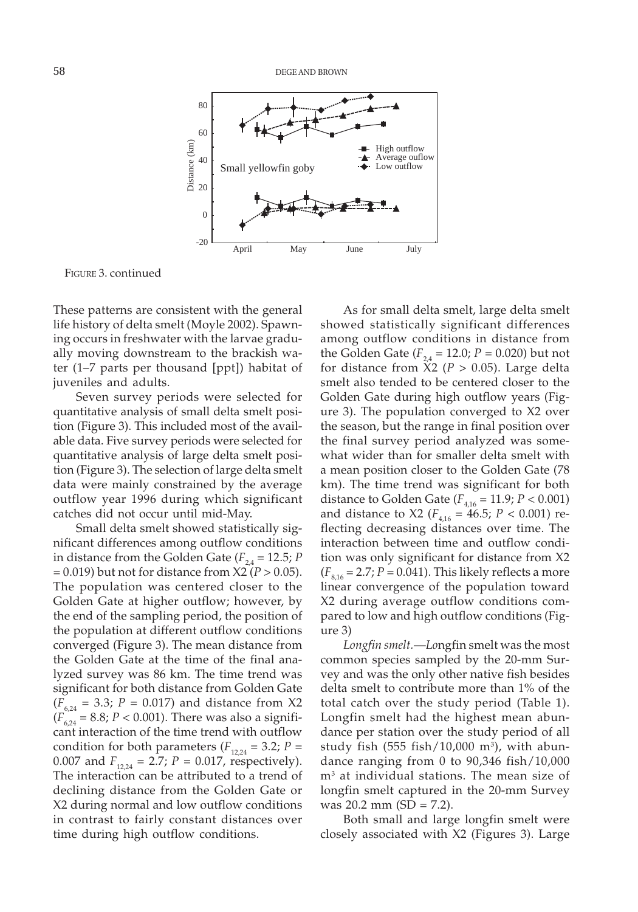

FIGURE 3. continued

These patterns are consistent with the general life history of delta smelt (Moyle 2002). Spawning occurs in freshwater with the larvae gradually moving downstream to the brackish water (1–7 parts per thousand [ppt]) habitat of juveniles and adults.

Seven survey periods were selected for quantitative analysis of small delta smelt position (Figure 3). This included most of the available data. Five survey periods were selected for quantitative analysis of large delta smelt position (Figure 3). The selection of large delta smelt data were mainly constrained by the average outflow year 1996 during which significant catches did not occur until mid-May.

Small delta smelt showed statistically significant differences among outflow conditions in distance from the Golden Gate  $(F_{24} = 12.5; P)$ = 0.019) but not for distance from X2 (*P* > 0.05). The population was centered closer to the Golden Gate at higher outflow; however, by the end of the sampling period, the position of the population at different outflow conditions converged (Figure 3). The mean distance from the Golden Gate at the time of the final analyzed survey was 86 km. The time trend was significant for both distance from Golden Gate  $(F_{6,24} = 3.3; P = 0.017)$  and distance from X2  $(F_{6,24} = 8.8; P < 0.001)$ . There was also a significant interaction of the time trend with outflow condition for both parameters ( $F_{12,24} = 3.2$ ;  $P =$ 0.007 and  $F_{12,24} = 2.7; P = 0.017$ , respectively). The interaction can be attributed to a trend of declining distance from the Golden Gate or X2 during normal and low outflow conditions in contrast to fairly constant distances over time during high outflow conditions.

As for small delta smelt, large delta smelt showed statistically significant differences among outflow conditions in distance from the Golden Gate  $(F_{24} = 12.0; P = 0.020)$  but not for distance from  $\hat{X}2$  ( $P > 0.05$ ). Large delta smelt also tended to be centered closer to the Golden Gate during high outflow years (Figure 3). The population converged to X2 over the season, but the range in final position over the final survey period analyzed was somewhat wider than for smaller delta smelt with a mean position closer to the Golden Gate (78 km). The time trend was significant for both distance to Golden Gate ( $F_{4,16} = 11.9; P < 0.001$ ) and distance to X2 ( $F_{4,16} = 46.5; P < 0.001$ ) reflecting decreasing distances over time. The interaction between time and outflow condition was only significant for distance from X2  $(F_{8,16} = 2.7; P = 0.041)$ . This likely reflects a more linear convergence of the population toward X2 during average outflow conditions compared to low and high outflow conditions (Figure 3)

*Longfin smelt.*—*Lo*ngfin smelt was the most common species sampled by the 20-mm Survey and was the only other native fish besides delta smelt to contribute more than 1% of the total catch over the study period (Table 1). Longfin smelt had the highest mean abundance per station over the study period of all study fish (555 fish/10,000 m<sup>3</sup>), with abundance ranging from 0 to 90,346 fish/10,000 m3 at individual stations. The mean size of longfin smelt captured in the 20-mm Survey was 20.2 mm (SD = 7.2).

Both small and large longfin smelt were closely associated with X2 (Figures 3). Large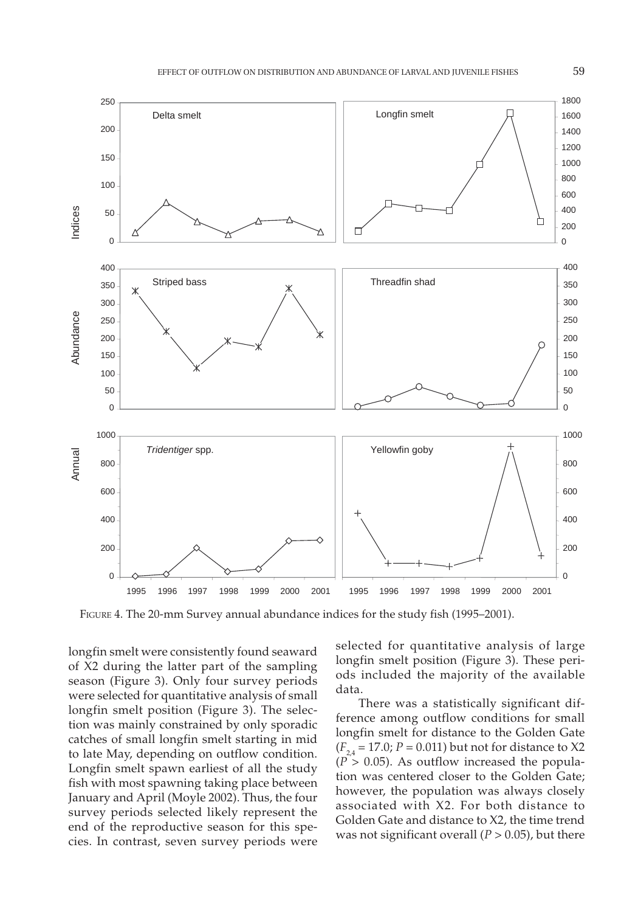

FIGURE 4. The 20-mm Survey annual abundance indices for the study fish (1995–2001).

longfin smelt were consistently found seaward of X2 during the latter part of the sampling season (Figure 3). Only four survey periods were selected for quantitative analysis of small longfin smelt position (Figure 3). The selection was mainly constrained by only sporadic catches of small longfin smelt starting in mid to late May, depending on outflow condition. Longfin smelt spawn earliest of all the study fish with most spawning taking place between January and April (Moyle 2002). Thus, the four survey periods selected likely represent the end of the reproductive season for this species. In contrast, seven survey periods were

selected for quantitative analysis of large longfin smelt position (Figure 3). These periods included the majority of the available data.

There was a statistically significant difference among outflow conditions for small longfin smelt for distance to the Golden Gate  $(F_{24} = 17.0; P = 0.011)$  but not for distance to X2  $(P > 0.05)$ . As outflow increased the population was centered closer to the Golden Gate; however, the population was always closely associated with X2. For both distance to Golden Gate and distance to X2, the time trend was not significant overall  $(P > 0.05)$ , but there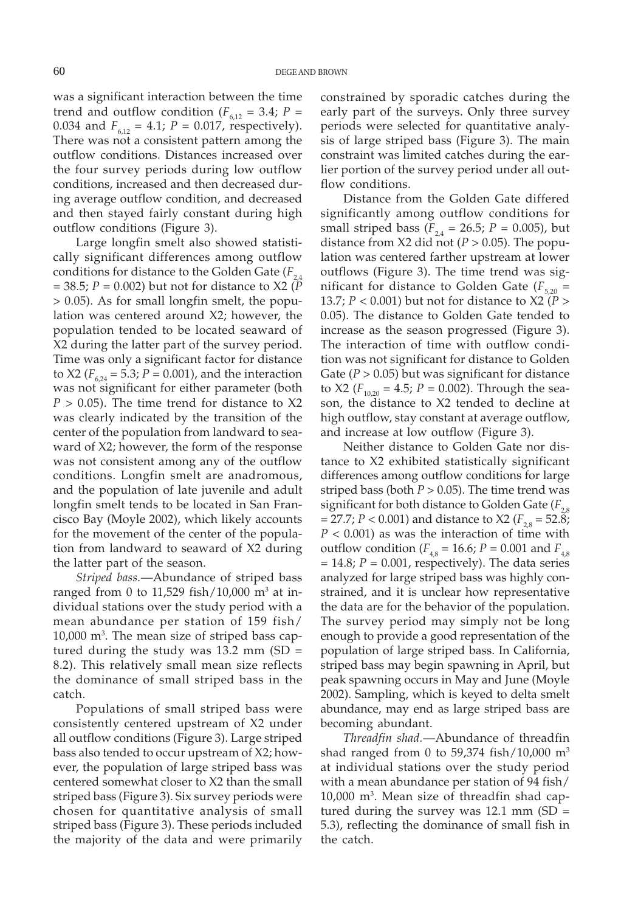was a significant interaction between the time trend and outflow condition ( $F_{6,12} = 3.4$ ;  $P =$ 0.034 and  $F_{6,12} = 4.1$ ;  $P = 0.017$ , respectively). There was not a consistent pattern among the outflow conditions. Distances increased over the four survey periods during low outflow conditions, increased and then decreased during average outflow condition, and decreased and then stayed fairly constant during high outflow conditions (Figure 3).

Large longfin smelt also showed statistically significant differences among outflow conditions for distance to the Golden Gate  $(F_{2,4})$ = 38.5; *P* = 0.002) but not for distance to X2 (*P* > 0.05). As for small longfin smelt, the population was centered around X2; however, the population tended to be located seaward of X2 during the latter part of the survey period. Time was only a significant factor for distance to X2 ( $F_{6,24} = 5.3$ ;  $P = 0.001$ ), and the interaction was not significant for either parameter (both  $P > 0.05$ ). The time trend for distance to X2 was clearly indicated by the transition of the center of the population from landward to seaward of X2; however, the form of the response was not consistent among any of the outflow conditions. Longfin smelt are anadromous, and the population of late juvenile and adult longfin smelt tends to be located in San Francisco Bay (Moyle 2002), which likely accounts for the movement of the center of the population from landward to seaward of X2 during the latter part of the season.

*Striped bass.*—Abundance of striped bass ranged from 0 to 11,529 fish/10,000 m<sup>3</sup> at individual stations over the study period with a mean abundance per station of 159 fish/ 10,000 m3 . The mean size of striped bass captured during the study was  $13.2$  mm (SD = 8.2). This relatively small mean size reflects the dominance of small striped bass in the catch.

Populations of small striped bass were consistently centered upstream of X2 under all outflow conditions (Figure 3). Large striped bass also tended to occur upstream of X2; however, the population of large striped bass was centered somewhat closer to X2 than the small striped bass (Figure 3). Six survey periods were chosen for quantitative analysis of small striped bass (Figure 3). These periods included the majority of the data and were primarily constrained by sporadic catches during the early part of the surveys. Only three survey periods were selected for quantitative analysis of large striped bass (Figure 3). The main constraint was limited catches during the earlier portion of the survey period under all outflow conditions.

Distance from the Golden Gate differed significantly among outflow conditions for small striped bass ( $F_{2,4} = 26.5$ ;  $P = 0.005$ ), but distance from X2 did not ( $P > 0.05$ ). The population was centered farther upstream at lower outflows (Figure 3). The time trend was significant for distance to Golden Gate  $(F_{5,20})$ 13.7; *P* < 0.001) but not for distance to X2 (*P* > 0.05). The distance to Golden Gate tended to increase as the season progressed (Figure 3). The interaction of time with outflow condition was not significant for distance to Golden Gate ( $P > 0.05$ ) but was significant for distance to X2 ( $F_{10,20} = 4.5$ ;  $P = 0.002$ ). Through the season, the distance to X2 tended to decline at high outflow, stay constant at average outflow, and increase at low outflow (Figure 3).

Neither distance to Golden Gate nor distance to X2 exhibited statistically significant differences among outflow conditions for large striped bass (both  $P > 0.05$ ). The time trend was significant for both distance to Golden Gate  $(F_{2,8})$  $= 27.7; P < 0.001$ ) and distance to X2 ( $F_{2,8} = 52.8;$ *P* < 0.001) as was the interaction of time with outflow condition ( $F_{4,8} = 16.6$ ;  $P = 0.001$  and  $F_{4,8}$  $= 14.8; P = 0.001$ , respectively). The data series analyzed for large striped bass was highly constrained, and it is unclear how representative the data are for the behavior of the population. The survey period may simply not be long enough to provide a good representation of the population of large striped bass. In California, striped bass may begin spawning in April, but peak spawning occurs in May and June (Moyle 2002). Sampling, which is keyed to delta smelt abundance, may end as large striped bass are becoming abundant.

*Threadfin shad.*—Abundance of threadfin shad ranged from 0 to 59,374 fish/10,000  $m<sup>3</sup>$ at individual stations over the study period with a mean abundance per station of 94 fish/  $10{,}000$  m $^3$ . Mean size of threadfin shad captured during the survey was 12.1 mm (SD = 5.3), reflecting the dominance of small fish in the catch.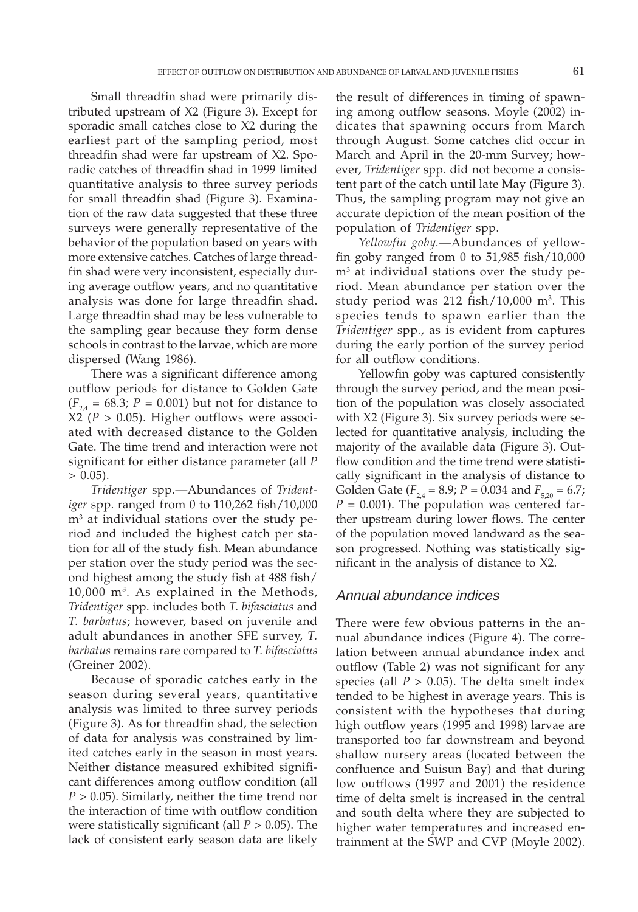Small threadfin shad were primarily distributed upstream of X2 (Figure 3). Except for sporadic small catches close to X2 during the earliest part of the sampling period, most threadfin shad were far upstream of X2. Sporadic catches of threadfin shad in 1999 limited quantitative analysis to three survey periods for small threadfin shad (Figure 3). Examination of the raw data suggested that these three surveys were generally representative of the behavior of the population based on years with more extensive catches. Catches of large threadfin shad were very inconsistent, especially during average outflow years, and no quantitative analysis was done for large threadfin shad. Large threadfin shad may be less vulnerable to the sampling gear because they form dense schools in contrast to the larvae, which are more dispersed (Wang 1986).

There was a significant difference among outflow periods for distance to Golden Gate  $(F_{24} = 68.3; P = 0.001)$  but not for distance to  $X2$  ( $P > 0.05$ ). Higher outflows were associated with decreased distance to the Golden Gate. The time trend and interaction were not significant for either distance parameter (all *P*  $> 0.05$ ).

*Tridentiger* spp.—Abundances of *Tridentiger* spp. ranged from 0 to 110,262 fish/10,000 m3 at individual stations over the study period and included the highest catch per station for all of the study fish. Mean abundance per station over the study period was the second highest among the study fish at 488 fish/ 10,000 m3. As explained in the Methods, *Tridentiger* spp. includes both *T. bifasciatus* and *T. barbatus*; however, based on juvenile and adult abundances in another SFE survey, *T. barbatus* remains rare compared to *T. bifasciatus* (Greiner 2002).

Because of sporadic catches early in the season during several years, quantitative analysis was limited to three survey periods (Figure 3). As for threadfin shad, the selection of data for analysis was constrained by limited catches early in the season in most years. Neither distance measured exhibited significant differences among outflow condition (all *P* > 0.05). Similarly, neither the time trend nor the interaction of time with outflow condition were statistically significant (all *P* > 0.05). The lack of consistent early season data are likely the result of differences in timing of spawning among outflow seasons. Moyle (2002) indicates that spawning occurs from March through August. Some catches did occur in March and April in the 20-mm Survey; however, *Tridentiger* spp. did not become a consistent part of the catch until late May (Figure 3). Thus, the sampling program may not give an accurate depiction of the mean position of the population of *Tridentiger* spp.

*Yellowfin goby.*—Abundances of yellowfin goby ranged from 0 to 51,985 fish/10,000 m3 at individual stations over the study period. Mean abundance per station over the study period was 212 fish/10,000 m<sup>3</sup>. This species tends to spawn earlier than the *Tridentiger* spp., as is evident from captures during the early portion of the survey period for all outflow conditions.

Yellowfin goby was captured consistently through the survey period, and the mean position of the population was closely associated with X2 (Figure 3). Six survey periods were selected for quantitative analysis, including the majority of the available data (Figure 3). Outflow condition and the time trend were statistically significant in the analysis of distance to Golden Gate  $(F_{2,4} = 8.9; P = 0.034$  and  $F_{5,20} = 6.7;$  $P = 0.001$ ). The population was centered farther upstream during lower flows. The center of the population moved landward as the season progressed. Nothing was statistically significant in the analysis of distance to X2.

#### Annual abundance indices

There were few obvious patterns in the annual abundance indices (Figure 4). The correlation between annual abundance index and outflow (Table 2) was not significant for any species (all  $P > 0.05$ ). The delta smelt index tended to be highest in average years. This is consistent with the hypotheses that during high outflow years (1995 and 1998) larvae are transported too far downstream and beyond shallow nursery areas (located between the confluence and Suisun Bay) and that during low outflows (1997 and 2001) the residence time of delta smelt is increased in the central and south delta where they are subjected to higher water temperatures and increased entrainment at the SWP and CVP (Moyle 2002).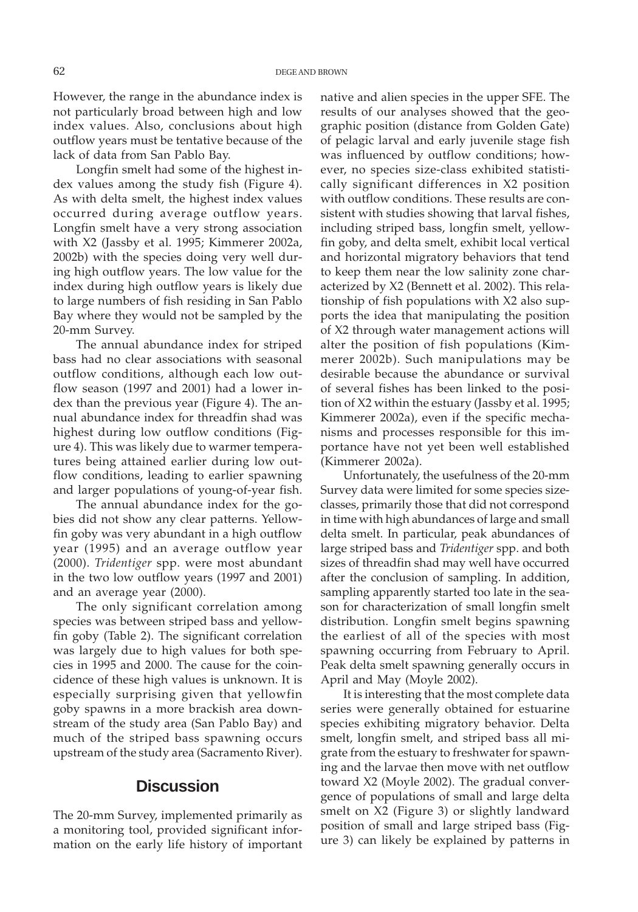However, the range in the abundance index is not particularly broad between high and low index values. Also, conclusions about high outflow years must be tentative because of the lack of data from San Pablo Bay.

Longfin smelt had some of the highest index values among the study fish (Figure 4). As with delta smelt, the highest index values occurred during average outflow years. Longfin smelt have a very strong association with X2 (Jassby et al. 1995; Kimmerer 2002a, 2002b) with the species doing very well during high outflow years. The low value for the index during high outflow years is likely due to large numbers of fish residing in San Pablo Bay where they would not be sampled by the 20-mm Survey.

The annual abundance index for striped bass had no clear associations with seasonal outflow conditions, although each low outflow season (1997 and 2001) had a lower index than the previous year (Figure 4). The annual abundance index for threadfin shad was highest during low outflow conditions (Figure 4). This was likely due to warmer temperatures being attained earlier during low outflow conditions, leading to earlier spawning and larger populations of young-of-year fish.

The annual abundance index for the gobies did not show any clear patterns. Yellowfin goby was very abundant in a high outflow year (1995) and an average outflow year (2000). *Tridentiger* spp. were most abundant in the two low outflow years (1997 and 2001) and an average year (2000).

The only significant correlation among species was between striped bass and yellowfin goby (Table 2). The significant correlation was largely due to high values for both species in 1995 and 2000. The cause for the coincidence of these high values is unknown. It is especially surprising given that yellowfin goby spawns in a more brackish area downstream of the study area (San Pablo Bay) and much of the striped bass spawning occurs upstream of the study area (Sacramento River).

# **Discussion**

The 20-mm Survey, implemented primarily as a monitoring tool, provided significant information on the early life history of important native and alien species in the upper SFE. The results of our analyses showed that the geographic position (distance from Golden Gate) of pelagic larval and early juvenile stage fish was influenced by outflow conditions; however, no species size-class exhibited statistically significant differences in X2 position with outflow conditions. These results are consistent with studies showing that larval fishes, including striped bass, longfin smelt, yellowfin goby, and delta smelt, exhibit local vertical and horizontal migratory behaviors that tend to keep them near the low salinity zone characterized by X2 (Bennett et al. 2002). This relationship of fish populations with X2 also supports the idea that manipulating the position of X2 through water management actions will alter the position of fish populations (Kimmerer 2002b). Such manipulations may be desirable because the abundance or survival of several fishes has been linked to the position of X2 within the estuary (Jassby et al. 1995; Kimmerer 2002a), even if the specific mechanisms and processes responsible for this importance have not yet been well established (Kimmerer 2002a).

Unfortunately, the usefulness of the 20-mm Survey data were limited for some species sizeclasses, primarily those that did not correspond in time with high abundances of large and small delta smelt. In particular, peak abundances of large striped bass and *Tridentiger* spp. and both sizes of threadfin shad may well have occurred after the conclusion of sampling. In addition, sampling apparently started too late in the season for characterization of small longfin smelt distribution. Longfin smelt begins spawning the earliest of all of the species with most spawning occurring from February to April. Peak delta smelt spawning generally occurs in April and May (Moyle 2002).

It is interesting that the most complete data series were generally obtained for estuarine species exhibiting migratory behavior. Delta smelt, longfin smelt, and striped bass all migrate from the estuary to freshwater for spawning and the larvae then move with net outflow toward X2 (Moyle 2002). The gradual convergence of populations of small and large delta smelt on X2 (Figure 3) or slightly landward position of small and large striped bass (Figure 3) can likely be explained by patterns in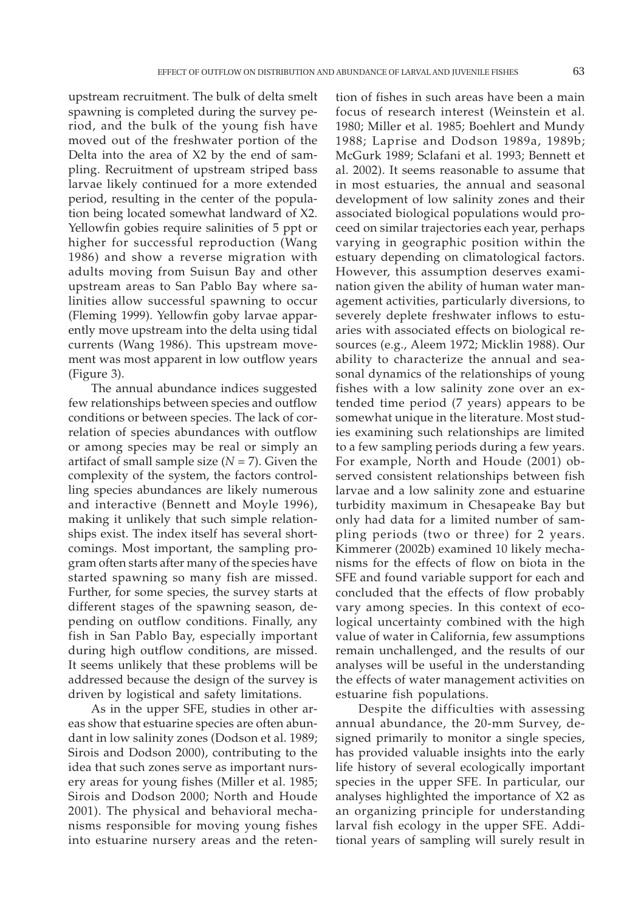upstream recruitment. The bulk of delta smelt spawning is completed during the survey period, and the bulk of the young fish have moved out of the freshwater portion of the Delta into the area of X2 by the end of sampling. Recruitment of upstream striped bass larvae likely continued for a more extended period, resulting in the center of the population being located somewhat landward of X2. Yellowfin gobies require salinities of 5 ppt or higher for successful reproduction (Wang 1986) and show a reverse migration with adults moving from Suisun Bay and other upstream areas to San Pablo Bay where salinities allow successful spawning to occur (Fleming 1999). Yellowfin goby larvae apparently move upstream into the delta using tidal currents (Wang 1986). This upstream movement was most apparent in low outflow years (Figure 3).

The annual abundance indices suggested few relationships between species and outflow conditions or between species. The lack of correlation of species abundances with outflow or among species may be real or simply an artifact of small sample size  $(N = 7)$ . Given the complexity of the system, the factors controlling species abundances are likely numerous and interactive (Bennett and Moyle 1996), making it unlikely that such simple relationships exist. The index itself has several shortcomings. Most important, the sampling program often starts after many of the species have started spawning so many fish are missed. Further, for some species, the survey starts at different stages of the spawning season, depending on outflow conditions. Finally, any fish in San Pablo Bay, especially important during high outflow conditions, are missed. It seems unlikely that these problems will be addressed because the design of the survey is driven by logistical and safety limitations.

As in the upper SFE, studies in other areas show that estuarine species are often abundant in low salinity zones (Dodson et al. 1989; Sirois and Dodson 2000), contributing to the idea that such zones serve as important nursery areas for young fishes (Miller et al. 1985; Sirois and Dodson 2000; North and Houde 2001). The physical and behavioral mechanisms responsible for moving young fishes into estuarine nursery areas and the retention of fishes in such areas have been a main focus of research interest (Weinstein et al. 1980; Miller et al. 1985; Boehlert and Mundy 1988; Laprise and Dodson 1989a, 1989b; McGurk 1989; Sclafani et al. 1993; Bennett et al. 2002). It seems reasonable to assume that in most estuaries, the annual and seasonal development of low salinity zones and their associated biological populations would proceed on similar trajectories each year, perhaps varying in geographic position within the estuary depending on climatological factors. However, this assumption deserves examination given the ability of human water management activities, particularly diversions, to severely deplete freshwater inflows to estuaries with associated effects on biological resources (e.g., Aleem 1972; Micklin 1988). Our ability to characterize the annual and seasonal dynamics of the relationships of young fishes with a low salinity zone over an extended time period (7 years) appears to be somewhat unique in the literature. Most studies examining such relationships are limited to a few sampling periods during a few years. For example, North and Houde (2001) observed consistent relationships between fish larvae and a low salinity zone and estuarine turbidity maximum in Chesapeake Bay but only had data for a limited number of sampling periods (two or three) for 2 years. Kimmerer (2002b) examined 10 likely mechanisms for the effects of flow on biota in the SFE and found variable support for each and concluded that the effects of flow probably vary among species. In this context of ecological uncertainty combined with the high value of water in California, few assumptions remain unchallenged, and the results of our analyses will be useful in the understanding the effects of water management activities on estuarine fish populations.

Despite the difficulties with assessing annual abundance, the 20-mm Survey, designed primarily to monitor a single species, has provided valuable insights into the early life history of several ecologically important species in the upper SFE. In particular, our analyses highlighted the importance of X2 as an organizing principle for understanding larval fish ecology in the upper SFE. Additional years of sampling will surely result in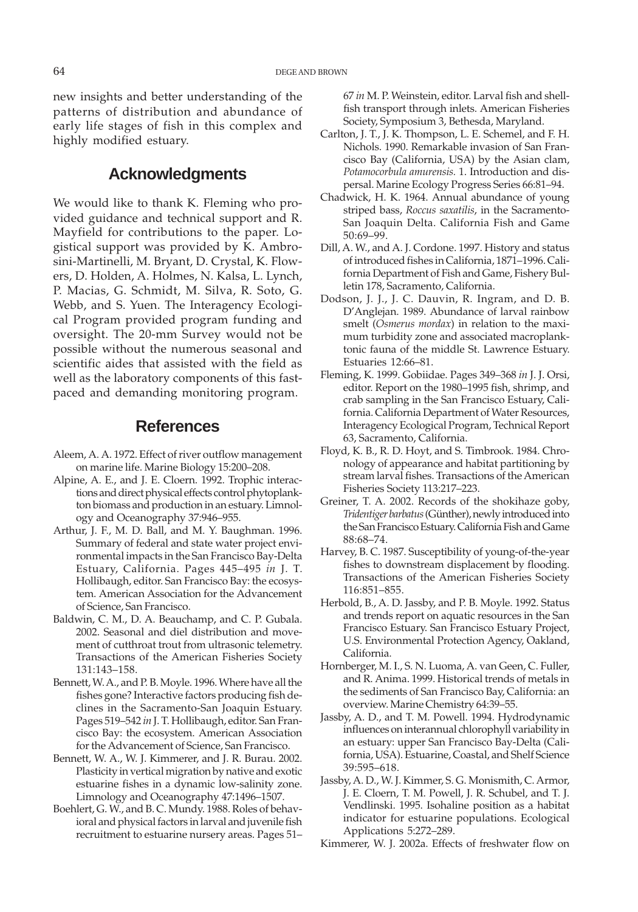new insights and better understanding of the patterns of distribution and abundance of early life stages of fish in this complex and highly modified estuary.

# **Acknowledgments**

We would like to thank K. Fleming who provided guidance and technical support and R. Mayfield for contributions to the paper. Logistical support was provided by K. Ambrosini-Martinelli, M. Bryant, D. Crystal, K. Flowers, D. Holden, A. Holmes, N. Kalsa, L. Lynch, P. Macias, G. Schmidt, M. Silva, R. Soto, G. Webb, and S. Yuen. The Interagency Ecological Program provided program funding and oversight. The 20-mm Survey would not be possible without the numerous seasonal and scientific aides that assisted with the field as well as the laboratory components of this fastpaced and demanding monitoring program.

# **References**

- Aleem, A. A. 1972. Effect of river outflow management on marine life. Marine Biology 15:200–208.
- Alpine, A. E., and J. E. Cloern. 1992. Trophic interactions and direct physical effects control phytoplankton biomass and production in an estuary. Limnology and Oceanography 37:946–955.
- Arthur, J. F., M. D. Ball, and M. Y. Baughman. 1996. Summary of federal and state water project environmental impacts in the San Francisco Bay-Delta Estuary, California. Pages 445–495 *in* J. T. Hollibaugh, editor. San Francisco Bay: the ecosystem. American Association for the Advancement of Science, San Francisco.
- Baldwin, C. M., D. A. Beauchamp, and C. P. Gubala. 2002. Seasonal and diel distribution and movement of cutthroat trout from ultrasonic telemetry. Transactions of the American Fisheries Society 131:143–158.
- Bennett, W. A., and P. B. Moyle. 1996. Where have all the fishes gone? Interactive factors producing fish declines in the Sacramento-San Joaquin Estuary. Pages 519–542 *in* J. T. Hollibaugh, editor. San Francisco Bay: the ecosystem. American Association for the Advancement of Science, San Francisco.
- Bennett, W. A., W. J. Kimmerer, and J. R. Burau. 2002. Plasticity in vertical migration by native and exotic estuarine fishes in a dynamic low-salinity zone. Limnology and Oceanography 47:1496–1507.
- Boehlert, G. W., and B. C. Mundy. 1988. Roles of behavioral and physical factors in larval and juvenile fish recruitment to estuarine nursery areas. Pages 51–

67 *in* M. P. Weinstein, editor. Larval fish and shellfish transport through inlets. American Fisheries Society, Symposium 3, Bethesda, Maryland.

- Carlton, J. T., J. K. Thompson, L. E. Schemel, and F. H. Nichols. 1990. Remarkable invasion of San Francisco Bay (California, USA) by the Asian clam, *Potamocorbula amurensis.* 1. Introduction and dispersal. Marine Ecology Progress Series 66:81–94.
- Chadwick, H. K. 1964. Annual abundance of young striped bass, *Roccus saxatilis*, in the Sacramento-San Joaquin Delta. California Fish and Game 50:69–99.
- Dill, A. W., and A. J. Cordone. 1997. History and status of introduced fishes in California, 1871–1996. California Department of Fish and Game, Fishery Bulletin 178, Sacramento, California.
- Dodson, J. J., J. C. Dauvin, R. Ingram, and D. B. D'Anglejan. 1989. Abundance of larval rainbow smelt (*Osmerus mordax*) in relation to the maximum turbidity zone and associated macroplanktonic fauna of the middle St. Lawrence Estuary. Estuaries 12:66–81.
- Fleming, K. 1999. Gobiidae. Pages 349–368 *in* J. J. Orsi, editor. Report on the 1980–1995 fish, shrimp, and crab sampling in the San Francisco Estuary, California. California Department of Water Resources, Interagency Ecological Program, Technical Report 63, Sacramento, California.
- Floyd, K. B., R. D. Hoyt, and S. Timbrook. 1984. Chronology of appearance and habitat partitioning by stream larval fishes. Transactions of the American Fisheries Society 113:217–223.
- Greiner, T. A. 2002. Records of the shokihaze goby, *Tridentiger barbatus* (Günther), newly introduced into the San Francisco Estuary. California Fish and Game 88:68–74.
- Harvey, B. C. 1987. Susceptibility of young-of-the-year fishes to downstream displacement by flooding. Transactions of the American Fisheries Society 116:851–855.
- Herbold, B., A. D. Jassby, and P. B. Moyle. 1992. Status and trends report on aquatic resources in the San Francisco Estuary. San Francisco Estuary Project, U.S. Environmental Protection Agency, Oakland, California.
- Hornberger, M. I., S. N. Luoma, A. van Geen, C. Fuller, and R. Anima. 1999. Historical trends of metals in the sediments of San Francisco Bay, California: an overview. Marine Chemistry 64:39–55.
- Jassby, A. D., and T. M. Powell. 1994. Hydrodynamic influences on interannual chlorophyll variability in an estuary: upper San Francisco Bay-Delta (California, USA). Estuarine, Coastal, and Shelf Science 39:595–618.
- Jassby, A. D., W. J. Kimmer, S. G. Monismith, C. Armor, J. E. Cloern, T. M. Powell, J. R. Schubel, and T. J. Vendlinski. 1995. Isohaline position as a habitat indicator for estuarine populations. Ecological Applications 5:272–289.

Kimmerer, W. J. 2002a. Effects of freshwater flow on